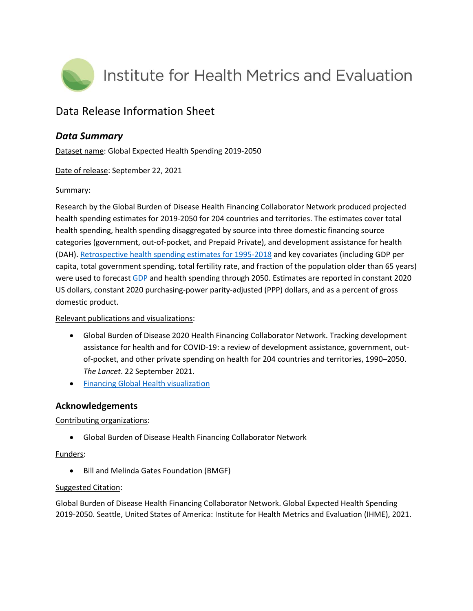

# Data Release Information Sheet

## *Data Summary*

Dataset name: Global Expected Health Spending 2019-2050

Date of release: September 22, 2021

### Summary:

Research by the Global Burden of Disease Health Financing Collaborator Network produced projected health spending estimates for 2019-2050 for 204 countries and territories. The estimates cover total health spending, health spending disaggregated by source into three domestic financing source categories (government, out-of-pocket, and Prepaid Private), and development assistance for health (DAH). [Retrospective health spending estimates for 1995-2018](http://ghdx.healthdata.org/record/ihme-data/global-health-spending-1995-2018) and key covariates (including GDP per capita, total government spending, total fertility rate, and fraction of the population older than 65 years) were used to forecast [GDP](http://ghdx.healthdata.org/record/ihme-data/global-gdp-per-capita-1960-2050) and health spending through 2050. Estimates are reported in constant 2020 US dollars, constant 2020 purchasing-power parity-adjusted (PPP) dollars, and as a percent of gross domestic product.

### Relevant publications and visualizations:

- Global Burden of Disease 2020 Health Financing Collaborator Network. Tracking development assistance for health and for COVID-19: a review of development assistance, government, outof-pocket, and other private spending on health for 204 countries and territories, 1990–2050. *The Lancet*. 22 September 2021.
- **•** [Financing Global Health visualization](https://vizhub.healthdata.org/fgh/)

### **Acknowledgements**

### Contributing organizations:

Global Burden of Disease Health Financing Collaborator Network

### Funders:

Bill and Melinda Gates Foundation (BMGF)

### Suggested Citation:

Global Burden of Disease Health Financing Collaborator Network. Global Expected Health Spending 2019-2050. Seattle, United States of America: Institute for Health Metrics and Evaluation (IHME), 2021.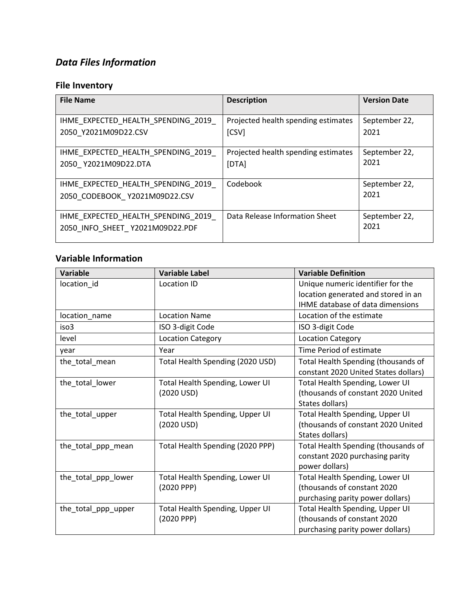# *Data Files Information*

# **File Inventory**

| <b>File Name</b>                                           | <b>Description</b>                           | <b>Version Date</b>   |
|------------------------------------------------------------|----------------------------------------------|-----------------------|
| IHME EXPECTED HEALTH SPENDING 2019<br>2050 Y2021M09D22.CSV | Projected health spending estimates<br>[CSV] | September 22,<br>2021 |
|                                                            |                                              |                       |
| IHME EXPECTED HEALTH SPENDING 2019                         | Projected health spending estimates          | September 22,<br>2021 |
| 2050 Y2021M09D22.DTA                                       | [DTA]                                        |                       |
| IHME EXPECTED HEALTH SPENDING 2019                         | Codebook                                     | September 22,<br>2021 |
| 2050 CODEBOOK Y2021M09D22.CSV                              |                                              |                       |
| IHME EXPECTED HEALTH SPENDING 2019                         | Data Release Information Sheet               | September 22,         |
| 2050 INFO SHEET Y2021M09D22.PDF                            |                                              | 2021                  |

## **Variable Information**

| <b>Variable</b>     | <b>Variable Label</b>            | <b>Variable Definition</b>                                               |
|---------------------|----------------------------------|--------------------------------------------------------------------------|
| location_id         | Location ID                      | Unique numeric identifier for the<br>location generated and stored in an |
|                     |                                  | IHME database of data dimensions                                         |
| location_name       | <b>Location Name</b>             | Location of the estimate                                                 |
| iso3                | ISO 3-digit Code                 | ISO 3-digit Code                                                         |
| level               | <b>Location Category</b>         | <b>Location Category</b>                                                 |
| year                | Year                             | Time Period of estimate                                                  |
| the_total_mean      | Total Health Spending (2020 USD) | Total Health Spending (thousands of                                      |
|                     |                                  | constant 2020 United States dollars)                                     |
| the_total_lower     | Total Health Spending, Lower UI  | Total Health Spending, Lower UI                                          |
|                     | (2020 USD)                       | (thousands of constant 2020 United                                       |
|                     |                                  | States dollars)                                                          |
| the_total_upper     | Total Health Spending, Upper UI  | Total Health Spending, Upper UI                                          |
|                     | (2020 USD)                       | (thousands of constant 2020 United                                       |
|                     |                                  | States dollars)                                                          |
| the_total_ppp_mean  | Total Health Spending (2020 PPP) | Total Health Spending (thousands of                                      |
|                     |                                  | constant 2020 purchasing parity                                          |
|                     |                                  | power dollars)                                                           |
| the_total_ppp_lower | Total Health Spending, Lower UI  | Total Health Spending, Lower UI                                          |
|                     | (2020 PPP)                       | (thousands of constant 2020                                              |
|                     |                                  | purchasing parity power dollars)                                         |
| the_total_ppp_upper | Total Health Spending, Upper UI  | Total Health Spending, Upper UI                                          |
|                     | (2020 PPP)                       | (thousands of constant 2020                                              |
|                     |                                  | purchasing parity power dollars)                                         |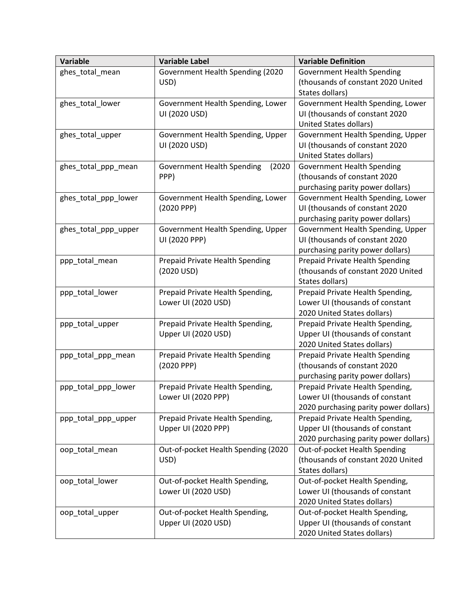| <b>Variable</b>      | <b>Variable Label</b>                       | <b>Variable Definition</b>            |
|----------------------|---------------------------------------------|---------------------------------------|
| ghes_total_mean      | Government Health Spending (2020            | <b>Government Health Spending</b>     |
|                      | USD)                                        | (thousands of constant 2020 United    |
|                      |                                             | States dollars)                       |
| ghes_total_lower     | Government Health Spending, Lower           | Government Health Spending, Lower     |
|                      | UI (2020 USD)                               | UI (thousands of constant 2020        |
|                      |                                             | United States dollars)                |
| ghes_total_upper     | Government Health Spending, Upper           | Government Health Spending, Upper     |
|                      | UI (2020 USD)                               | UI (thousands of constant 2020        |
|                      |                                             | United States dollars)                |
| ghes_total_ppp_mean  | <b>Government Health Spending</b><br>(2020) | <b>Government Health Spending</b>     |
|                      | PPP)                                        | (thousands of constant 2020           |
|                      |                                             | purchasing parity power dollars)      |
| ghes_total_ppp_lower | Government Health Spending, Lower           | Government Health Spending, Lower     |
|                      | (2020 PPP)                                  | UI (thousands of constant 2020        |
|                      |                                             | purchasing parity power dollars)      |
| ghes_total_ppp_upper | Government Health Spending, Upper           | Government Health Spending, Upper     |
|                      | UI (2020 PPP)                               | UI (thousands of constant 2020        |
|                      |                                             | purchasing parity power dollars)      |
| ppp_total_mean       | Prepaid Private Health Spending             | Prepaid Private Health Spending       |
|                      | (2020 USD)                                  | (thousands of constant 2020 United    |
|                      |                                             | States dollars)                       |
| ppp_total_lower      | Prepaid Private Health Spending,            | Prepaid Private Health Spending,      |
|                      | Lower UI (2020 USD)                         | Lower UI (thousands of constant       |
|                      |                                             | 2020 United States dollars)           |
| ppp_total_upper      | Prepaid Private Health Spending,            | Prepaid Private Health Spending,      |
|                      | Upper UI (2020 USD)                         | Upper UI (thousands of constant       |
|                      |                                             | 2020 United States dollars)           |
| ppp_total_ppp_mean   | Prepaid Private Health Spending             | Prepaid Private Health Spending       |
|                      | (2020 PPP)                                  | (thousands of constant 2020           |
|                      |                                             | purchasing parity power dollars)      |
| ppp_total_ppp_lower  | Prepaid Private Health Spending,            | Prepaid Private Health Spending,      |
|                      | Lower UI (2020 PPP)                         | Lower UI (thousands of constant       |
|                      |                                             | 2020 purchasing parity power dollars) |
| ppp_total_ppp_upper  | Prepaid Private Health Spending,            | Prepaid Private Health Spending,      |
|                      | Upper UI (2020 PPP)                         | Upper UI (thousands of constant       |
|                      |                                             | 2020 purchasing parity power dollars) |
| oop_total_mean       | Out-of-pocket Health Spending (2020         | Out-of-pocket Health Spending         |
|                      | USD)                                        | (thousands of constant 2020 United    |
|                      |                                             | States dollars)                       |
| oop_total_lower      | Out-of-pocket Health Spending,              | Out-of-pocket Health Spending,        |
|                      | Lower UI (2020 USD)                         | Lower UI (thousands of constant       |
|                      |                                             | 2020 United States dollars)           |
| oop_total_upper      | Out-of-pocket Health Spending,              | Out-of-pocket Health Spending,        |
|                      | Upper UI (2020 USD)                         | Upper UI (thousands of constant       |
|                      |                                             | 2020 United States dollars)           |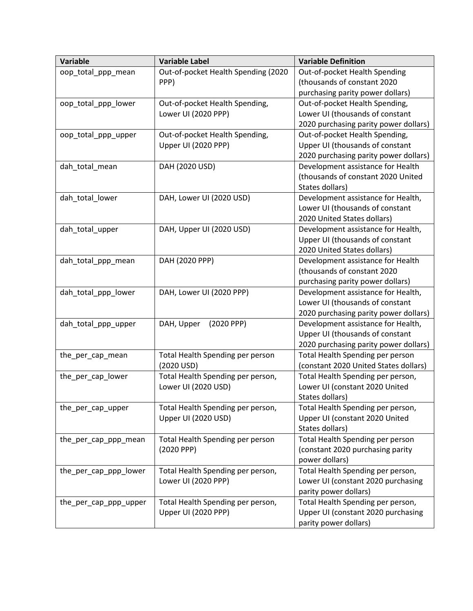| <b>Variable</b>       | <b>Variable Label</b>               | <b>Variable Definition</b>            |
|-----------------------|-------------------------------------|---------------------------------------|
| oop_total_ppp_mean    | Out-of-pocket Health Spending (2020 | Out-of-pocket Health Spending         |
|                       | PPP)                                | (thousands of constant 2020           |
|                       |                                     | purchasing parity power dollars)      |
| oop_total_ppp_lower   | Out-of-pocket Health Spending,      | Out-of-pocket Health Spending,        |
|                       | Lower UI (2020 PPP)                 | Lower UI (thousands of constant       |
|                       |                                     | 2020 purchasing parity power dollars) |
| oop_total_ppp_upper   | Out-of-pocket Health Spending,      | Out-of-pocket Health Spending,        |
|                       | Upper UI (2020 PPP)                 | Upper UI (thousands of constant       |
|                       |                                     | 2020 purchasing parity power dollars) |
| dah_total_mean        | DAH (2020 USD)                      | Development assistance for Health     |
|                       |                                     | (thousands of constant 2020 United    |
|                       |                                     | States dollars)                       |
| dah_total_lower       | DAH, Lower UI (2020 USD)            | Development assistance for Health,    |
|                       |                                     | Lower UI (thousands of constant       |
|                       |                                     | 2020 United States dollars)           |
| dah_total_upper       | DAH, Upper UI (2020 USD)            | Development assistance for Health,    |
|                       |                                     | Upper UI (thousands of constant       |
|                       |                                     | 2020 United States dollars)           |
| dah_total_ppp_mean    | DAH (2020 PPP)                      | Development assistance for Health     |
|                       |                                     | (thousands of constant 2020           |
|                       |                                     | purchasing parity power dollars)      |
| dah_total_ppp_lower   | DAH, Lower UI (2020 PPP)            | Development assistance for Health,    |
|                       |                                     | Lower UI (thousands of constant       |
|                       |                                     | 2020 purchasing parity power dollars) |
| dah_total_ppp_upper   | (2020 PPP)<br>DAH, Upper            | Development assistance for Health,    |
|                       |                                     | Upper UI (thousands of constant       |
|                       |                                     | 2020 purchasing parity power dollars) |
| the_per_cap_mean      | Total Health Spending per person    | Total Health Spending per person      |
|                       | (2020 USD)                          | (constant 2020 United States dollars) |
| the per cap lower     | Total Health Spending per person,   | Total Health Spending per person,     |
|                       | Lower UI (2020 USD)                 | Lower UI (constant 2020 United        |
|                       |                                     | States dollars)                       |
| the_per_cap_upper     | Total Health Spending per person,   | Total Health Spending per person,     |
|                       | Upper UI (2020 USD)                 | Upper UI (constant 2020 United        |
|                       |                                     | States dollars)                       |
| the per cap ppp mean  | Total Health Spending per person    | Total Health Spending per person      |
|                       | (2020 PPP)                          | (constant 2020 purchasing parity      |
|                       |                                     | power dollars)                        |
| the per cap ppp lower | Total Health Spending per person,   | Total Health Spending per person,     |
|                       | Lower UI (2020 PPP)                 | Lower UI (constant 2020 purchasing    |
|                       |                                     | parity power dollars)                 |
| the_per_cap_ppp_upper | Total Health Spending per person,   | Total Health Spending per person,     |
|                       | Upper UI (2020 PPP)                 | Upper UI (constant 2020 purchasing    |
|                       |                                     | parity power dollars)                 |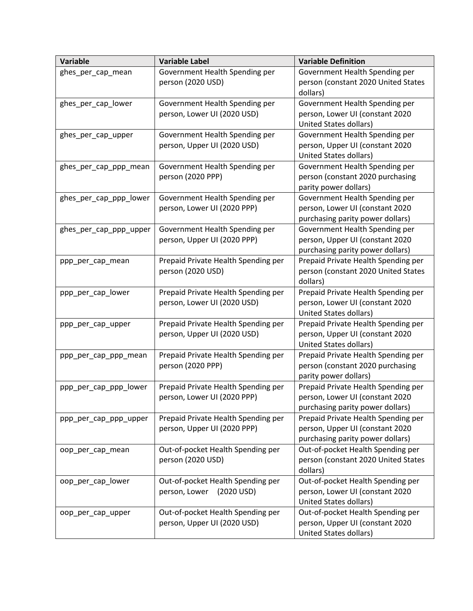| Variable               | <b>Variable Label</b>                                              | <b>Variable Definition</b>                                             |
|------------------------|--------------------------------------------------------------------|------------------------------------------------------------------------|
| ghes_per_cap_mean      | Government Health Spending per                                     | Government Health Spending per                                         |
|                        | person (2020 USD)                                                  | person (constant 2020 United States                                    |
|                        |                                                                    | dollars)                                                               |
| ghes_per_cap_lower     | Government Health Spending per                                     | Government Health Spending per                                         |
|                        | person, Lower UI (2020 USD)                                        | person, Lower UI (constant 2020                                        |
|                        |                                                                    | United States dollars)                                                 |
| ghes_per_cap_upper     | Government Health Spending per                                     | Government Health Spending per                                         |
|                        | person, Upper UI (2020 USD)                                        | person, Upper UI (constant 2020                                        |
|                        |                                                                    | <b>United States dollars)</b>                                          |
| ghes_per_cap_ppp_mean  | Government Health Spending per                                     | Government Health Spending per                                         |
|                        | person (2020 PPP)                                                  | person (constant 2020 purchasing                                       |
|                        |                                                                    | parity power dollars)                                                  |
| ghes_per_cap_ppp_lower | Government Health Spending per                                     | Government Health Spending per                                         |
|                        | person, Lower UI (2020 PPP)                                        | person, Lower UI (constant 2020                                        |
|                        |                                                                    | purchasing parity power dollars)                                       |
| ghes_per_cap_ppp_upper | Government Health Spending per                                     | Government Health Spending per                                         |
|                        | person, Upper UI (2020 PPP)                                        | person, Upper UI (constant 2020                                        |
|                        |                                                                    | purchasing parity power dollars)                                       |
| ppp_per_cap_mean       | Prepaid Private Health Spending per                                | Prepaid Private Health Spending per                                    |
|                        | person (2020 USD)                                                  | person (constant 2020 United States                                    |
|                        |                                                                    | dollars)                                                               |
| ppp_per_cap_lower      | Prepaid Private Health Spending per<br>person, Lower UI (2020 USD) | Prepaid Private Health Spending per<br>person, Lower UI (constant 2020 |
|                        |                                                                    | United States dollars)                                                 |
|                        | Prepaid Private Health Spending per                                | Prepaid Private Health Spending per                                    |
| ppp_per_cap_upper      | person, Upper UI (2020 USD)                                        | person, Upper UI (constant 2020                                        |
|                        |                                                                    | United States dollars)                                                 |
| ppp_per_cap_ppp_mean   | Prepaid Private Health Spending per                                | Prepaid Private Health Spending per                                    |
|                        | person (2020 PPP)                                                  | person (constant 2020 purchasing                                       |
|                        |                                                                    | parity power dollars)                                                  |
| ppp_per_cap_ppp_lower  | Prepaid Private Health Spending per                                | Prepaid Private Health Spending per                                    |
|                        | person, Lower UI (2020 PPP)                                        | person, Lower UI (constant 2020                                        |
|                        |                                                                    | purchasing parity power dollars)                                       |
| ppp_per_cap_ppp_upper  | Prepaid Private Health Spending per                                | Prepaid Private Health Spending per                                    |
|                        | person, Upper UI (2020 PPP)                                        | person, Upper UI (constant 2020                                        |
|                        |                                                                    | purchasing parity power dollars)                                       |
| oop_per_cap_mean       | Out-of-pocket Health Spending per                                  | Out-of-pocket Health Spending per                                      |
|                        | person (2020 USD)                                                  | person (constant 2020 United States                                    |
|                        |                                                                    | dollars)                                                               |
| oop_per_cap_lower      | Out-of-pocket Health Spending per                                  | Out-of-pocket Health Spending per                                      |
|                        | person, Lower<br>(2020 USD)                                        | person, Lower UI (constant 2020                                        |
|                        |                                                                    | United States dollars)                                                 |
| oop_per_cap_upper      | Out-of-pocket Health Spending per                                  | Out-of-pocket Health Spending per                                      |
|                        | person, Upper UI (2020 USD)                                        | person, Upper UI (constant 2020                                        |
|                        |                                                                    | United States dollars)                                                 |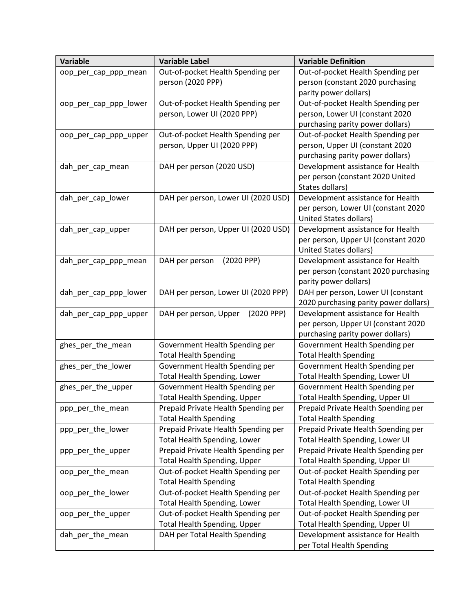| <b>Variable</b>       | <b>Variable Label</b>               | <b>Variable Definition</b>            |
|-----------------------|-------------------------------------|---------------------------------------|
| oop_per_cap_ppp_mean  | Out-of-pocket Health Spending per   | Out-of-pocket Health Spending per     |
|                       | person (2020 PPP)                   | person (constant 2020 purchasing      |
|                       |                                     | parity power dollars)                 |
| oop_per_cap_ppp_lower | Out-of-pocket Health Spending per   | Out-of-pocket Health Spending per     |
|                       | person, Lower UI (2020 PPP)         | person, Lower UI (constant 2020       |
|                       |                                     | purchasing parity power dollars)      |
| oop_per_cap_ppp_upper | Out-of-pocket Health Spending per   | Out-of-pocket Health Spending per     |
|                       | person, Upper UI (2020 PPP)         | person, Upper UI (constant 2020       |
|                       |                                     | purchasing parity power dollars)      |
| dah per cap mean      | DAH per person (2020 USD)           | Development assistance for Health     |
|                       |                                     | per person (constant 2020 United      |
|                       |                                     | States dollars)                       |
| dah_per_cap_lower     | DAH per person, Lower UI (2020 USD) | Development assistance for Health     |
|                       |                                     | per person, Lower UI (constant 2020   |
|                       |                                     | United States dollars)                |
| dah_per_cap_upper     | DAH per person, Upper UI (2020 USD) | Development assistance for Health     |
|                       |                                     | per person, Upper UI (constant 2020   |
|                       |                                     | United States dollars)                |
| dah per cap ppp mean  | (2020 PPP)<br>DAH per person        | Development assistance for Health     |
|                       |                                     | per person (constant 2020 purchasing  |
|                       |                                     | parity power dollars)                 |
| dah_per_cap_ppp_lower | DAH per person, Lower UI (2020 PPP) | DAH per person, Lower UI (constant    |
|                       |                                     | 2020 purchasing parity power dollars) |
| dah_per_cap_ppp_upper | (2020 PPP)<br>DAH per person, Upper | Development assistance for Health     |
|                       |                                     | per person, Upper UI (constant 2020   |
|                       |                                     | purchasing parity power dollars)      |
| ghes_per_the_mean     | Government Health Spending per      | Government Health Spending per        |
|                       | <b>Total Health Spending</b>        | <b>Total Health Spending</b>          |
| ghes_per_the_lower    | Government Health Spending per      | Government Health Spending per        |
|                       | Total Health Spending, Lower        | Total Health Spending, Lower UI       |
| ghes_per_the_upper    | Government Health Spending per      | Government Health Spending per        |
|                       | Total Health Spending, Upper        | Total Health Spending, Upper UI       |
| ppp_per_the_mean      | Prepaid Private Health Spending per | Prepaid Private Health Spending per   |
|                       | <b>Total Health Spending</b>        | <b>Total Health Spending</b>          |
| ppp_per_the_lower     | Prepaid Private Health Spending per | Prepaid Private Health Spending per   |
|                       | Total Health Spending, Lower        | Total Health Spending, Lower UI       |
| ppp_per_the_upper     | Prepaid Private Health Spending per | Prepaid Private Health Spending per   |
|                       | Total Health Spending, Upper        | Total Health Spending, Upper UI       |
| oop_per_the_mean      | Out-of-pocket Health Spending per   | Out-of-pocket Health Spending per     |
|                       | <b>Total Health Spending</b>        | <b>Total Health Spending</b>          |
| oop_per_the_lower     | Out-of-pocket Health Spending per   | Out-of-pocket Health Spending per     |
|                       | Total Health Spending, Lower        | Total Health Spending, Lower UI       |
| oop per the upper     | Out-of-pocket Health Spending per   | Out-of-pocket Health Spending per     |
|                       | Total Health Spending, Upper        | Total Health Spending, Upper UI       |
| dah_per_the_mean      | DAH per Total Health Spending       | Development assistance for Health     |
|                       |                                     | per Total Health Spending             |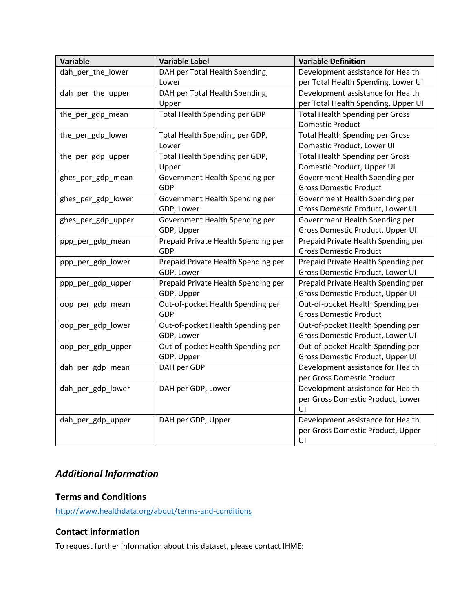| <b>Variable</b>    | <b>Variable Label</b>               | <b>Variable Definition</b>             |
|--------------------|-------------------------------------|----------------------------------------|
| dah_per_the_lower  | DAH per Total Health Spending,      | Development assistance for Health      |
|                    | Lower                               | per Total Health Spending, Lower UI    |
| dah_per_the_upper  | DAH per Total Health Spending,      | Development assistance for Health      |
|                    | Upper                               | per Total Health Spending, Upper UI    |
| the_per_gdp_mean   | Total Health Spending per GDP       | <b>Total Health Spending per Gross</b> |
|                    |                                     | <b>Domestic Product</b>                |
| the_per_gdp_lower  | Total Health Spending per GDP,      | <b>Total Health Spending per Gross</b> |
|                    | Lower                               | Domestic Product, Lower UI             |
| the_per_gdp_upper  | Total Health Spending per GDP,      | <b>Total Health Spending per Gross</b> |
|                    | Upper                               | Domestic Product, Upper UI             |
| ghes_per_gdp_mean  | Government Health Spending per      | Government Health Spending per         |
|                    | <b>GDP</b>                          | <b>Gross Domestic Product</b>          |
| ghes_per_gdp_lower | Government Health Spending per      | Government Health Spending per         |
|                    | GDP, Lower                          | Gross Domestic Product, Lower UI       |
| ghes_per_gdp_upper | Government Health Spending per      | Government Health Spending per         |
|                    | GDP, Upper                          | Gross Domestic Product, Upper UI       |
| ppp_per_gdp_mean   | Prepaid Private Health Spending per | Prepaid Private Health Spending per    |
|                    | GDP                                 | <b>Gross Domestic Product</b>          |
| ppp_per_gdp_lower  | Prepaid Private Health Spending per | Prepaid Private Health Spending per    |
|                    | GDP, Lower                          | Gross Domestic Product, Lower UI       |
| ppp_per_gdp_upper  | Prepaid Private Health Spending per | Prepaid Private Health Spending per    |
|                    | GDP, Upper                          | Gross Domestic Product, Upper UI       |
| oop_per_gdp_mean   | Out-of-pocket Health Spending per   | Out-of-pocket Health Spending per      |
|                    | <b>GDP</b>                          | <b>Gross Domestic Product</b>          |
| oop_per_gdp_lower  | Out-of-pocket Health Spending per   | Out-of-pocket Health Spending per      |
|                    | GDP, Lower                          | Gross Domestic Product, Lower UI       |
| oop_per_gdp_upper  | Out-of-pocket Health Spending per   | Out-of-pocket Health Spending per      |
|                    | GDP, Upper                          | Gross Domestic Product, Upper UI       |
| dah_per_gdp_mean   | DAH per GDP                         | Development assistance for Health      |
|                    |                                     | per Gross Domestic Product             |
| dah per gdp lower  | DAH per GDP, Lower                  | Development assistance for Health      |
|                    |                                     | per Gross Domestic Product, Lower      |
|                    |                                     | UI                                     |
| dah_per_gdp_upper  | DAH per GDP, Upper                  | Development assistance for Health      |
|                    |                                     | per Gross Domestic Product, Upper      |
|                    |                                     | UI                                     |

# *Additional Information*

### **Terms and Conditions**

<http://www.healthdata.org/about/terms-and-conditions>

### **Contact information**

To request further information about this dataset, please contact IHME: